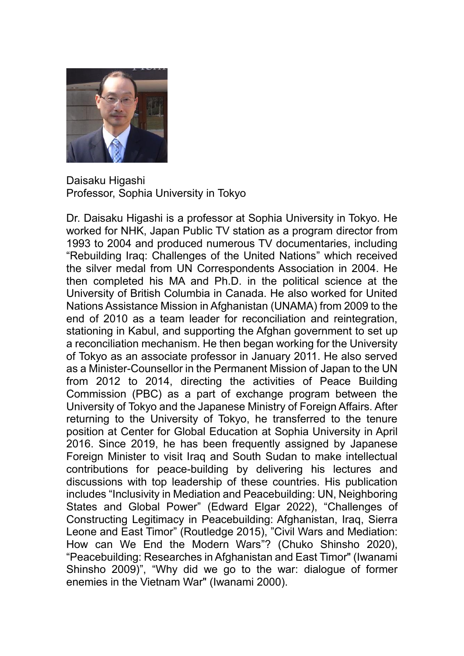

Daisaku Higashi Professor, Sophia University in Tokyo

Dr. Daisaku Higashi is a professor at Sophia University in Tokyo. He worked for NHK, Japan Public TV station as a program director from 1993 to 2004 and produced numerous TV documentaries, including "Rebuilding Iraq: Challenges of the United Nations" which received the silver medal from UN Correspondents Association in 2004. He then completed his MA and Ph.D. in the political science at the University of British Columbia in Canada. He also worked for United Nations Assistance Mission in Afghanistan (UNAMA) from 2009 to the end of 2010 as a team leader for reconciliation and reintegration, stationing in Kabul, and supporting the Afghan government to set up a reconciliation mechanism. He then began working for the University of Tokyo as an associate professor in January 2011. He also served as a Minister-Counsellor in the Permanent Mission of Japan to the UN from 2012 to 2014, directing the activities of Peace Building Commission (PBC) as a part of exchange program between the University of Tokyo and the Japanese Ministry of Foreign Affairs. After returning to the University of Tokyo, he transferred to the tenure position at Center for Global Education at Sophia University in April 2016. Since 2019, he has been frequently assigned by Japanese Foreign Minister to visit Iraq and South Sudan to make intellectual contributions for peace-building by delivering his lectures and discussions with top leadership of these countries. His publication includes "Inclusivity in Mediation and Peacebuilding: UN, Neighboring States and Global Power" (Edward Elgar 2022), "Challenges of Constructing Legitimacy in Peacebuilding: Afghanistan, Iraq, Sierra Leone and East Timor" (Routledge 2015), "Civil Wars and Mediation: How can We End the Modern Wars"? (Chuko Shinsho 2020), "Peacebuilding: Researches in Afghanistan and East Timor" (Iwanami Shinsho 2009)", "Why did we go to the war: dialogue of former enemies in the Vietnam War" (Iwanami 2000).